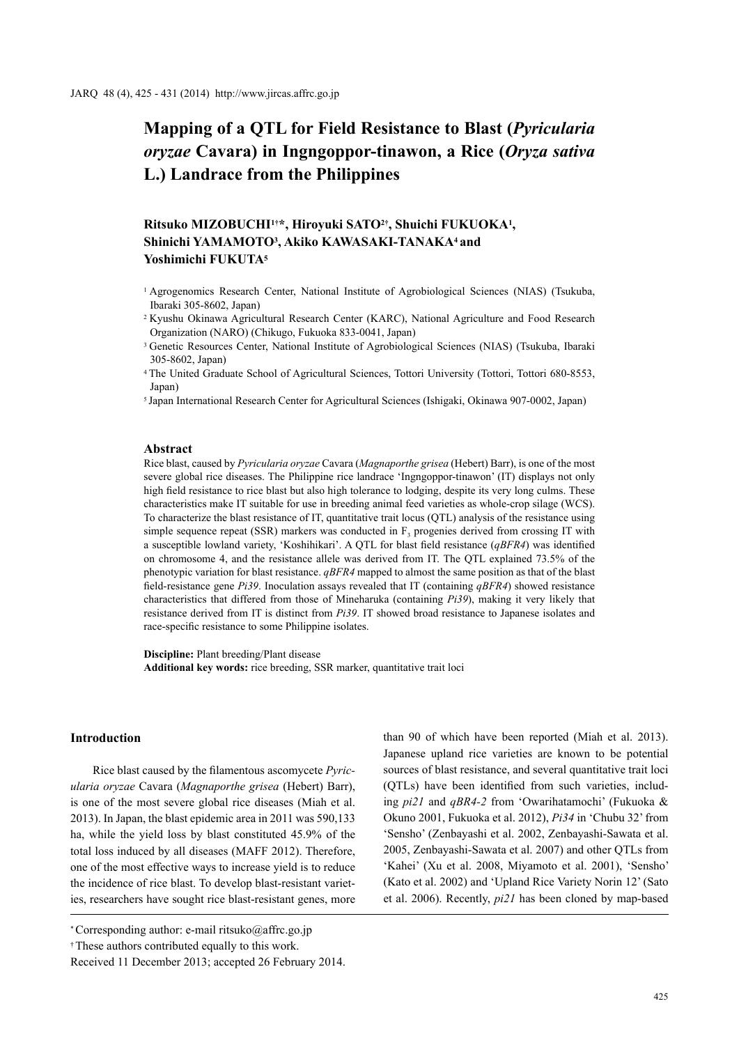# **Mapping of a QTL for Field Resistance to Blast (***Pyricularia oryzae* **Cavara) in Ingngoppor-tinawon, a Rice (***Oryza sativa*  **L.) Landrace from the Philippines**

# **Ritsuko MIZOBUCHI1†\*, Hiroyuki SATO2†, Shuichi FUKUOKA1, Shinichi YAMAMOTO3, Akiko KAWASAKI-TANAKA4 and Yoshimichi FUKUTA5**

- <sup>1</sup> Agrogenomics Research Center, National Institute of Agrobiological Sciences (NIAS) (Tsukuba, Ibaraki 305-8602, Japan)
- <sup>2</sup>Kyushu Okinawa Agricultural Research Center (KARC), National Agriculture and Food Research Organization (NARO) (Chikugo, Fukuoka 833-0041, Japan)
- <sup>3</sup> Genetic Resources Center, National Institute of Agrobiological Sciences (NIAS) (Tsukuba, Ibaraki 305-8602, Japan)
- <sup>4</sup>The United Graduate School of Agricultural Sciences, Tottori University (Tottori, Tottori 680-8553, Japan)
- <sup>5</sup>Japan International Research Center for Agricultural Sciences (Ishigaki, Okinawa 907-0002, Japan)

#### **Abstract**

Rice blast, caused by *Pyricularia oryzae* Cavara (*Magnaporthe grisea* (Hebert) Barr), is one of the most severe global rice diseases. The Philippine rice landrace 'Ingngoppor-tinawon' (IT) displays not only high field resistance to rice blast but also high tolerance to lodging, despite its very long culms. These characteristics make IT suitable for use in breeding animal feed varieties as whole-crop silage (WCS). To characterize the blast resistance of IT, quantitative trait locus (QTL) analysis of the resistance using simple sequence repeat (SSR) markers was conducted in  $F_3$  progenies derived from crossing IT with a susceptible lowland variety, 'Koshihikari'. A QTL for blast field resistance (*qBFR4*) was identified on chromosome 4, and the resistance allele was derived from IT. The QTL explained 73.5% of the phenotypic variation for blast resistance. *qBFR4* mapped to almost the same position as that of the blast field-resistance gene *Pi39*. Inoculation assays revealed that IT (containing *qBFR4*) showed resistance characteristics that differed from those of Mineharuka (containing *Pi39*), making it very likely that resistance derived from IT is distinct from *Pi39*. IT showed broad resistance to Japanese isolates and race-specific resistance to some Philippine isolates.

**Discipline:** Plant breeding/Plant disease **Additional key words:** rice breeding, SSR marker, quantitative trait loci

# **Introduction**

Rice blast caused by the filamentous ascomycete *Pyricularia oryzae* Cavara (*Magnaporthe grisea* (Hebert) Barr), is one of the most severe global rice diseases (Miah et al. 2013). In Japan, the blast epidemic area in 2011 was 590,133 ha, while the yield loss by blast constituted 45.9% of the total loss induced by all diseases (MAFF 2012). Therefore, one of the most effective ways to increase yield is to reduce the incidence of rice blast. To develop blast-resistant varieties, researchers have sought rice blast-resistant genes, more

than 90 of which have been reported (Miah et al. 2013). Japanese upland rice varieties are known to be potential sources of blast resistance, and several quantitative trait loci (QTLs) have been identified from such varieties, including *pi21* and *qBR4-2* from 'Owarihatamochi' (Fukuoka & Okuno 2001, Fukuoka et al. 2012), *Pi34* in 'Chubu 32' from 'Sensho' (Zenbayashi et al. 2002, Zenbayashi-Sawata et al. 2005, Zenbayashi-Sawata et al. 2007) and other QTLs from 'Kahei' (Xu et al. 2008, Miyamoto et al. 2001), 'Sensho' (Kato et al. 2002) and 'Upland Rice Variety Norin 12' (Sato et al. 2006). Recently, *pi21* has been cloned by map-based

<sup>\*</sup> Corresponding author: e-mail ritsuko@affrc.go.jp

<sup>†</sup> These authors contributed equally to this work.

Received 11 December 2013; accepted 26 February 2014.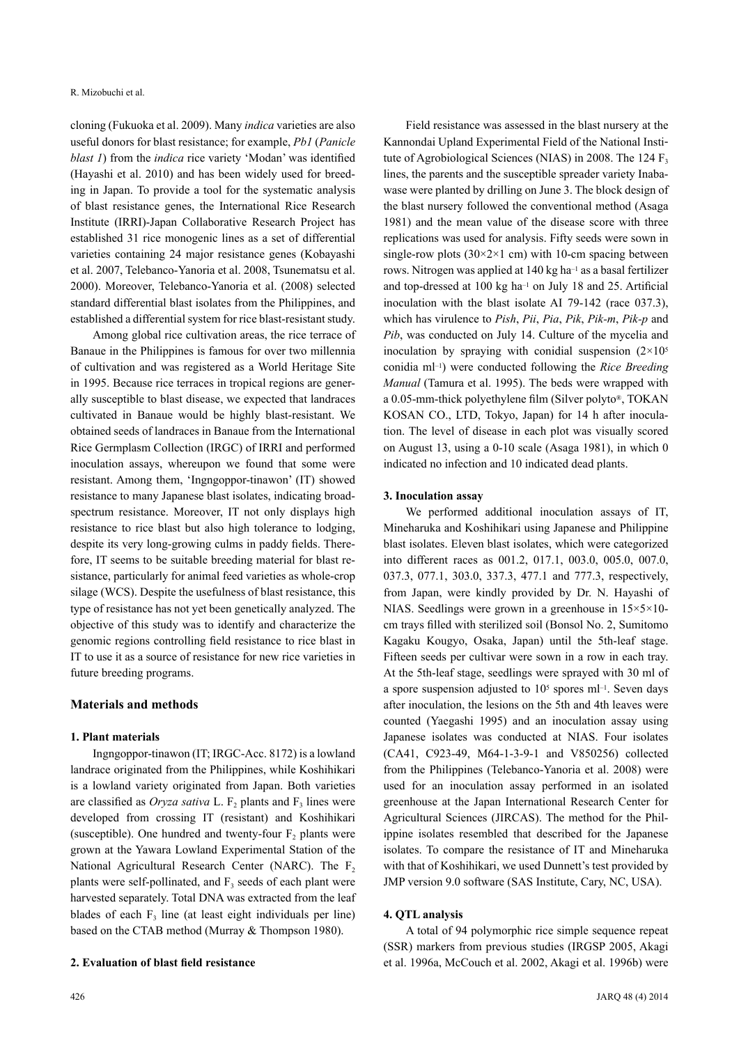cloning (Fukuoka et al. 2009). Many *indica* varieties are also useful donors for blast resistance; for example, *Pb1* (*Panicle blast 1*) from the *indica* rice variety 'Modan' was identified (Hayashi et al. 2010) and has been widely used for breeding in Japan. To provide a tool for the systematic analysis of blast resistance genes, the International Rice Research Institute (IRRI)-Japan Collaborative Research Project has established 31 rice monogenic lines as a set of differential varieties containing 24 major resistance genes (Kobayashi et al. 2007, Telebanco-Yanoria et al. 2008, Tsunematsu et al. 2000). Moreover, Telebanco-Yanoria et al. (2008) selected standard differential blast isolates from the Philippines, and established a differential system for rice blast-resistant study.

Among global rice cultivation areas, the rice terrace of Banaue in the Philippines is famous for over two millennia of cultivation and was registered as a World Heritage Site in 1995. Because rice terraces in tropical regions are generally susceptible to blast disease, we expected that landraces cultivated in Banaue would be highly blast-resistant. We obtained seeds of landraces in Banaue from the International Rice Germplasm Collection (IRGC) of IRRI and performed inoculation assays, whereupon we found that some were resistant. Among them, 'Ingngoppor-tinawon' (IT) showed resistance to many Japanese blast isolates, indicating broadspectrum resistance. Moreover, IT not only displays high resistance to rice blast but also high tolerance to lodging, despite its very long-growing culms in paddy fields. Therefore, IT seems to be suitable breeding material for blast resistance, particularly for animal feed varieties as whole-crop silage (WCS). Despite the usefulness of blast resistance, this type of resistance has not yet been genetically analyzed. The objective of this study was to identify and characterize the genomic regions controlling field resistance to rice blast in IT to use it as a source of resistance for new rice varieties in future breeding programs.

## **Materials and methods**

#### **1. Plant materials**

Ingngoppor-tinawon (IT; IRGC-Acc. 8172) is a lowland landrace originated from the Philippines, while Koshihikari is a lowland variety originated from Japan. Both varieties are classified as *Oryza sativa* L. F<sub>2</sub> plants and  $F_3$  lines were developed from crossing IT (resistant) and Koshihikari (susceptible). One hundred and twenty-four  $F_2$  plants were grown at the Yawara Lowland Experimental Station of the National Agricultural Research Center (NARC). The  $F<sub>2</sub>$ plants were self-pollinated, and  $F<sub>3</sub>$  seeds of each plant were harvested separately. Total DNA was extracted from the leaf blades of each  $F_3$  line (at least eight individuals per line) based on the CTAB method (Murray & Thompson 1980).

## **2. Evaluation of blast field resistance**

Field resistance was assessed in the blast nursery at the Kannondai Upland Experimental Field of the National Institute of Agrobiological Sciences (NIAS) in 2008. The 124  $F_3$ lines, the parents and the susceptible spreader variety Inabawase were planted by drilling on June 3. The block design of the blast nursery followed the conventional method (Asaga 1981) and the mean value of the disease score with three replications was used for analysis. Fifty seeds were sown in single-row plots  $(30\times2\times1$  cm) with 10-cm spacing between rows. Nitrogen was applied at 140 kg ha–1 as a basal fertilizer and top-dressed at 100 kg ha–1 on July 18 and 25. Artificial inoculation with the blast isolate AI 79-142 (race 037.3), which has virulence to *Pish*, *Pii*, *Pia*, *Pik*, *Pik-m*, *Pik-p* and *Pib*, was conducted on July 14. Culture of the mycelia and inoculation by spraying with conidial suspension  $(2\times10^5)$ conidia ml–1) were conducted following the *Rice Breeding Manual* (Tamura et al. 1995). The beds were wrapped with a 0.05-mm-thick polyethylene film (Silver polyto®, TOKAN KOSAN CO., LTD, Tokyo, Japan) for 14 h after inoculation. The level of disease in each plot was visually scored on August 13, using a 0-10 scale (Asaga 1981), in which 0 indicated no infection and 10 indicated dead plants.

#### **3. Inoculation assay**

We performed additional inoculation assays of IT, Mineharuka and Koshihikari using Japanese and Philippine blast isolates. Eleven blast isolates, which were categorized into different races as 001.2, 017.1, 003.0, 005.0, 007.0, 037.3, 077.1, 303.0, 337.3, 477.1 and 777.3, respectively, from Japan, were kindly provided by Dr. N. Hayashi of NIAS. Seedlings were grown in a greenhouse in 15×5×10 cm trays filled with sterilized soil (Bonsol No. 2, Sumitomo Kagaku Kougyo, Osaka, Japan) until the 5th-leaf stage. Fifteen seeds per cultivar were sown in a row in each tray. At the 5th-leaf stage, seedlings were sprayed with 30 ml of a spore suspension adjusted to  $10<sup>5</sup>$  spores ml<sup>-1</sup>. Seven days after inoculation, the lesions on the 5th and 4th leaves were counted (Yaegashi 1995) and an inoculation assay using Japanese isolates was conducted at NIAS. Four isolates (CA41, C923-49, M64-1-3-9-1 and V850256) collected from the Philippines (Telebanco-Yanoria et al. 2008) were used for an inoculation assay performed in an isolated greenhouse at the Japan International Research Center for Agricultural Sciences (JIRCAS). The method for the Philippine isolates resembled that described for the Japanese isolates. To compare the resistance of IT and Mineharuka with that of Koshihikari, we used Dunnett's test provided by JMP version 9.0 software (SAS Institute, Cary, NC, USA).

#### **4. QTL analysis**

A total of 94 polymorphic rice simple sequence repeat (SSR) markers from previous studies (IRGSP 2005, Akagi et al. 1996a, McCouch et al. 2002, Akagi et al. 1996b) were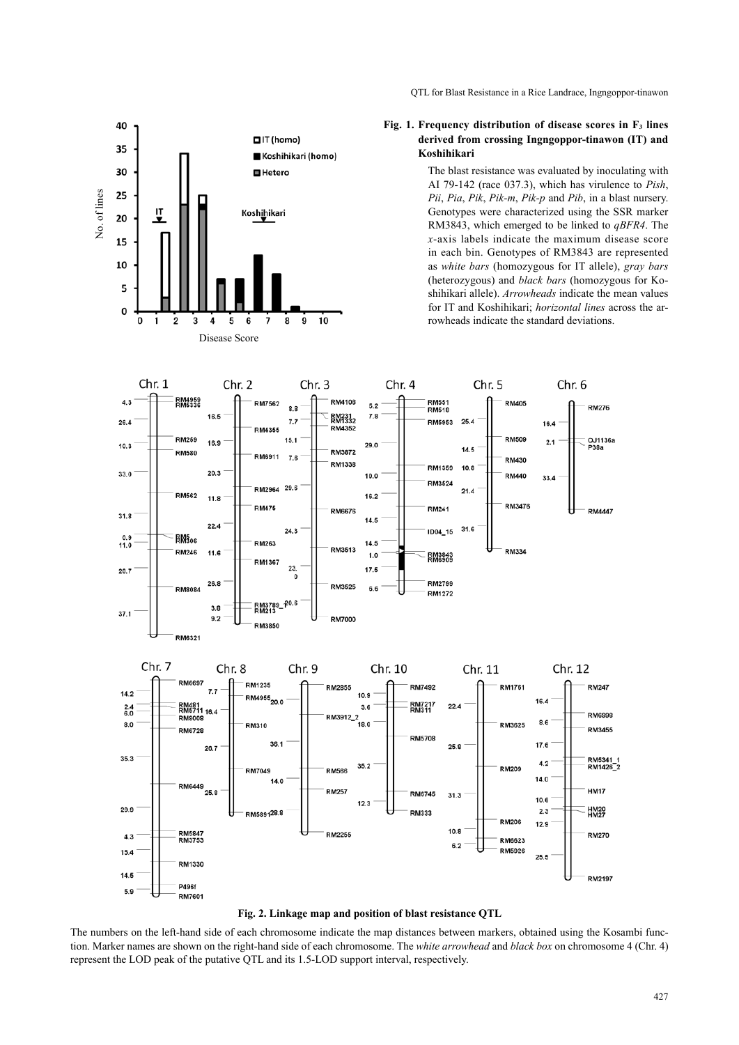QTL for Blast Resistance in a Rice Landrace, Ingngoppor-tinawon



#### **Fig. 1. Frequency distribution of disease scores in F3 lines derived from crossing Ingngoppor-tinawon (IT) and Koshihikari**

The blast resistance was evaluated by inoculating with AI 79-142 (race 037.3), which has virulence to *Pish*, *Pii*, *Pia*, *Pik*, *Pik-m*, *Pik-p* and *Pib*, in a blast nursery. Genotypes were characterized using the SSR marker RM3843, which emerged to be linked to *qBFR4*. The *x*-axis labels indicate the maximum disease score in each bin. Genotypes of RM3843 are represented as *white bars* (homozygous for IT allele), *gray bars*  (heterozygous) and *black bars* (homozygous for Koshihikari allele). *Arrowheads* indicate the mean values for IT and Koshihikari; *horizontal lines* across the arrowheads indicate the standard deviations.



**Fig. 2. Linkage map and position of blast resistance QTL**

The numbers on the left-hand side of each chromosome indicate the map distances between markers, obtained using the Kosambi function. Marker names are shown on the right-hand side of each chromosome. The *white arrowhead* and *black box* on chromosome 4 (Chr. 4) represent the LOD peak of the putative QTL and its 1.5-LOD support interval, respectively.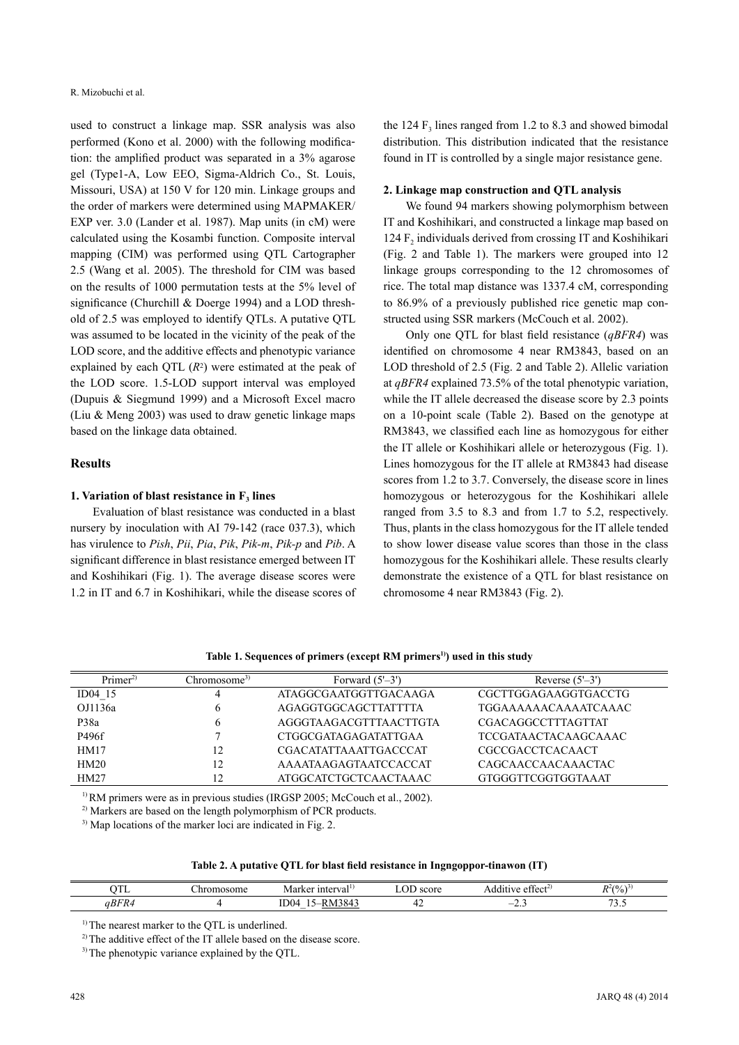used to construct a linkage map. SSR analysis was also performed (Kono et al. 2000) with the following modification: the amplified product was separated in a 3% agarose gel (Type1-A, Low EEO, Sigma-Aldrich Co., St. Louis, Missouri, USA) at 150 V for 120 min. Linkage groups and the order of markers were determined using MAPMAKER/ EXP ver. 3.0 (Lander et al. 1987). Map units (in cM) were calculated using the Kosambi function. Composite interval mapping (CIM) was performed using QTL Cartographer 2.5 (Wang et al. 2005). The threshold for CIM was based on the results of 1000 permutation tests at the 5% level of significance (Churchill & Doerge 1994) and a LOD threshold of 2.5 was employed to identify QTLs. A putative QTL was assumed to be located in the vicinity of the peak of the LOD score, and the additive effects and phenotypic variance explained by each QTL  $(R^2)$  were estimated at the peak of the LOD score. 1.5-LOD support interval was employed (Dupuis & Siegmund 1999) and a Microsoft Excel macro (Liu & Meng 2003) was used to draw genetic linkage maps based on the linkage data obtained.

#### **Results**

#### **1. Variation of blast resistance in F<sub>3</sub> lines**

Evaluation of blast resistance was conducted in a blast nursery by inoculation with AI 79-142 (race 037.3), which has virulence to *Pish*, *Pii*, *Pia*, *Pik*, *Pik-m*, *Pik-p* and *Pib*. A significant difference in blast resistance emerged between IT and Koshihikari (Fig. 1). The average disease scores were 1.2 in IT and 6.7 in Koshihikari, while the disease scores of

the 124  $F_3$  lines ranged from 1.2 to 8.3 and showed bimodal distribution. This distribution indicated that the resistance found in IT is controlled by a single major resistance gene.

#### **2. Linkage map construction and QTL analysis**

We found 94 markers showing polymorphism between IT and Koshihikari, and constructed a linkage map based on 124  $F_2$  individuals derived from crossing IT and Koshihikari (Fig. 2 and Table 1). The markers were grouped into 12 linkage groups corresponding to the 12 chromosomes of rice. The total map distance was 1337.4 cM, corresponding to 86.9% of a previously published rice genetic map constructed using SSR markers (McCouch et al. 2002).

Only one QTL for blast field resistance (*qBFR4*) was identified on chromosome 4 near RM3843, based on an LOD threshold of 2.5 (Fig. 2 and Table 2). Allelic variation at *qBFR4* explained 73.5% of the total phenotypic variation, while the IT allele decreased the disease score by 2.3 points on a 10-point scale (Table 2). Based on the genotype at RM3843, we classified each line as homozygous for either the IT allele or Koshihikari allele or heterozygous (Fig. 1). Lines homozygous for the IT allele at RM3843 had disease scores from 1.2 to 3.7. Conversely, the disease score in lines homozygous or heterozygous for the Koshihikari allele ranged from 3.5 to 8.3 and from 1.7 to 5.2, respectively. Thus, plants in the class homozygous for the IT allele tended to show lower disease value scores than those in the class homozygous for the Koshihikari allele. These results clearly demonstrate the existence of a QTL for blast resistance on chromosome 4 near RM3843 (Fig. 2).

| Primer <sup>2</sup> | Chromosome <sup>3)</sup> | Forward $(5'-3')$            | Reverse $(5'-3')$           |  |
|---------------------|--------------------------|------------------------------|-----------------------------|--|
| $ID04$ 15           | 4                        | ATAGGCGAATGGTTGACAAGA        | CGCTTGGAGAAGGTGACCTG        |  |
| OJ1136a             | O                        | AGAGGTGGCAGCTTATTTTA         | <b>TGGAAAAAACAAAATCAAAC</b> |  |
| P38a                | 6                        | AGGGTAAGACGTTTAACTTGTA       | <b>CGACAGGCCTTTAGTTAT</b>   |  |
| P496f               |                          | CTGGCGATAGAGATATTGAA         | <b>TCCGATAACTACAAGCAAAC</b> |  |
| HM17                | 12                       | <b>CGACATATTAAATTGACCCAT</b> | <b>CGCCGACCTCACAACT</b>     |  |
| HM20                | 12                       | AAAATAAGAGTAATCCACCAT        | CAGCAACCAACAAACTAC          |  |
| HM27                | 12                       | ATGGCATCTGCTCAACTAAAC        | GTGGGTTCGGTGGTAAAT          |  |

Table 1. Sequences of primers (except RM primers<sup>1)</sup>) used in this study

<sup>1)</sup> RM primers were as in previous studies (IRGSP 2005; McCouch et al., 2002).

<sup>2)</sup> Markers are based on the length polymorphism of PCR products.

3) Map locations of the marker loci are indicated in Fig. 2.

| Table 2. A putative QTL for blast field resistance in Ingngoppor-tinawon (IT) |  |  |
|-------------------------------------------------------------------------------|--|--|
|                                                                               |  |  |

| $\alpha$ mr<br>. .          | nosome<br>,, | nterva<br>l r o v<br>-Mar   | score | $\sim$<br>$\sim$ + + $\sim$ $\sim$ + $\sim$<br>.<br>w | $D^2(0)$<br>70 |  |
|-----------------------------|--------------|-----------------------------|-------|-------------------------------------------------------|----------------|--|
| $n \mathbf{r}$<br>aВı<br>۰ĸ |              | $T^{\alpha}$<br>A A 4<br>-- | ┱∠    | <u>.</u><br>$\sim$ $-$                                | $\sim$<br>.    |  |

<sup>1)</sup> The nearest marker to the QTL is underlined.

<sup>2)</sup> The additive effect of the IT allele based on the disease score.

<sup>3)</sup> The phenotypic variance explained by the QTL.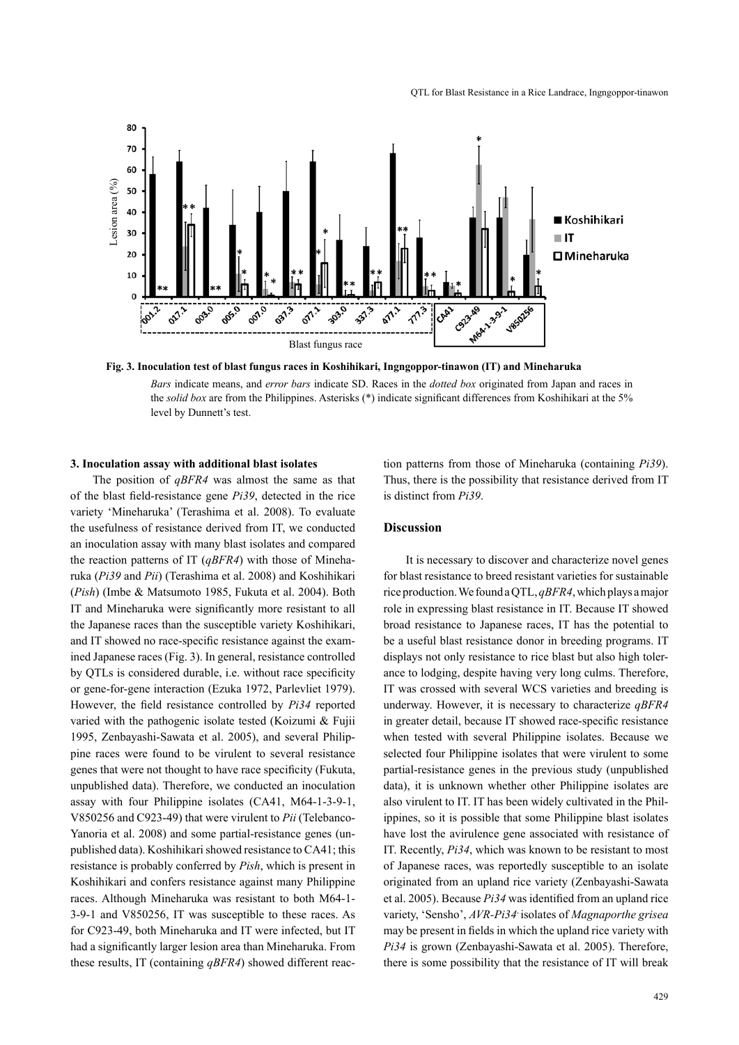

**Fig. 3. Inoculation test of blast fungus races in Koshihikari, Ingngoppor-tinawon (IT) and Mineharuka**

*Bars* indicate means, and *error bars* indicate SD. Races in the *dotted box* originated from Japan and races in the *solid box* are from the Philippines. Asterisks (\*) indicate significant differences from Koshihikari at the 5% level by Dunnett's test.

#### **3. Inoculation assay with additional blast isolates**

The position of *qBFR4* was almost the same as that of the blast field-resistance gene *Pi39*, detected in the rice variety 'Mineharuka' (Terashima et al. 2008). To evaluate the usefulness of resistance derived from IT, we conducted an inoculation assay with many blast isolates and compared the reaction patterns of IT (*qBFR4*) with those of Mineharuka (*Pi39* and *Pii*) (Terashima et al. 2008) and Koshihikari (*Pish*) (Imbe & Matsumoto 1985, Fukuta et al. 2004). Both IT and Mineharuka were significantly more resistant to all the Japanese races than the susceptible variety Koshihikari, and IT showed no race-specific resistance against the examined Japanese races (Fig. 3). In general, resistance controlled by QTLs is considered durable, i.e. without race specificity or gene-for-gene interaction (Ezuka 1972, Parlevliet 1979). However, the field resistance controlled by *Pi34* reported varied with the pathogenic isolate tested (Koizumi & Fujii 1995, Zenbayashi-Sawata et al. 2005), and several Philippine races were found to be virulent to several resistance genes that were not thought to have race specificity (Fukuta, unpublished data). Therefore, we conducted an inoculation assay with four Philippine isolates (CA41, M64-1-3-9-1, V850256 and C923-49) that were virulent to *Pii* (Telebanco-Yanoria et al. 2008) and some partial-resistance genes (unpublished data). Koshihikari showed resistance to CA41; this resistance is probably conferred by *Pish*, which is present in Koshihikari and confers resistance against many Philippine races. Although Mineharuka was resistant to both M64-1- 3-9-1 and V850256, IT was susceptible to these races. As for C923-49, both Mineharuka and IT were infected, but IT had a significantly larger lesion area than Mineharuka. From these results, IT (containing *qBFR4*) showed different reac-

tion patterns from those of Mineharuka (containing *Pi39*). Thus, there is the possibility that resistance derived from IT is distinct from *Pi39*.

#### **Discussion**

It is necessary to discover and characterize novel genes for blast resistance to breed resistant varieties for sustainable rice production. We found a QTL, *qBFR4*, which plays a major role in expressing blast resistance in IT. Because IT showed broad resistance to Japanese races, IT has the potential to be a useful blast resistance donor in breeding programs. IT displays not only resistance to rice blast but also high tolerance to lodging, despite having very long culms. Therefore, IT was crossed with several WCS varieties and breeding is underway. However, it is necessary to characterize *qBFR4* in greater detail, because IT showed race-specific resistance when tested with several Philippine isolates. Because we selected four Philippine isolates that were virulent to some partial-resistance genes in the previous study (unpublished data), it is unknown whether other Philippine isolates are also virulent to IT. IT has been widely cultivated in the Philippines, so it is possible that some Philippine blast isolates have lost the avirulence gene associated with resistance of IT. Recently, *Pi34*, which was known to be resistant to most of Japanese races, was reportedly susceptible to an isolate originated from an upland rice variety (Zenbayashi-Sawata et al. 2005). Because *Pi34* was identified from an upland rice variety, 'Sensho', *AVR-Pi34*- isolates of *Magnaporthe grisea*  may be present in fields in which the upland rice variety with *Pi34* is grown (Zenbayashi-Sawata et al. 2005). Therefore, there is some possibility that the resistance of IT will break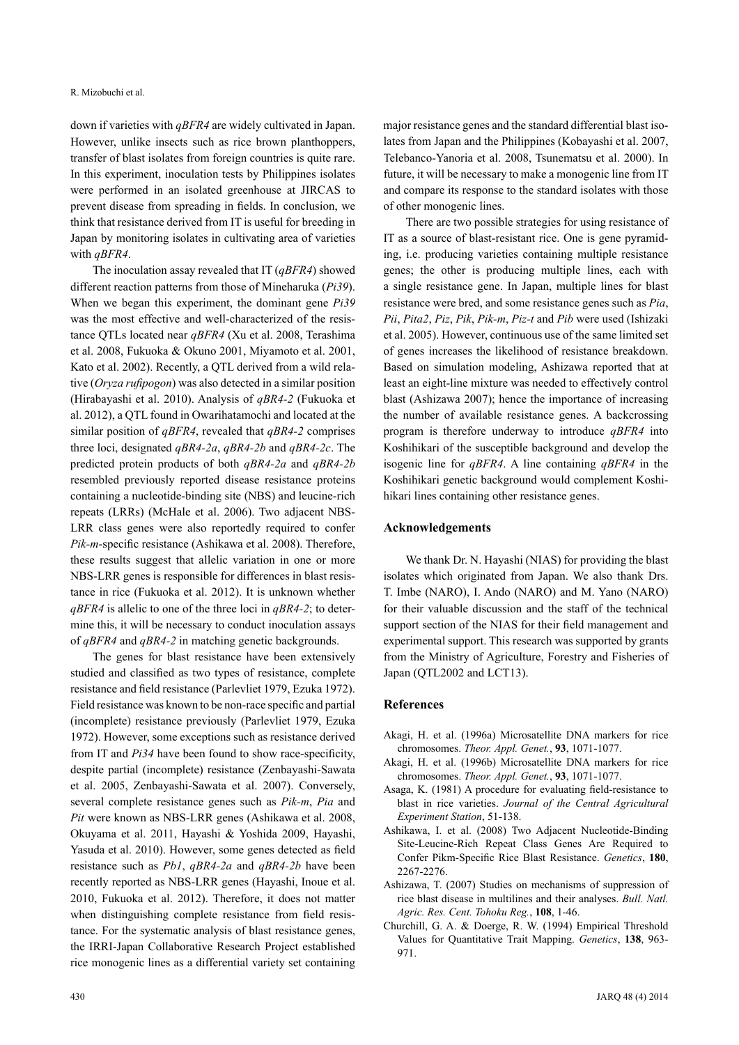down if varieties with *qBFR4* are widely cultivated in Japan. However, unlike insects such as rice brown planthoppers, transfer of blast isolates from foreign countries is quite rare. In this experiment, inoculation tests by Philippines isolates were performed in an isolated greenhouse at JIRCAS to prevent disease from spreading in fields. In conclusion, we think that resistance derived from IT is useful for breeding in Japan by monitoring isolates in cultivating area of varieties with *qBFR4*.

The inoculation assay revealed that IT (*qBFR4*) showed different reaction patterns from those of Mineharuka (*Pi39*). When we began this experiment, the dominant gene *Pi39* was the most effective and well-characterized of the resistance QTLs located near *qBFR4* (Xu et al. 2008, Terashima et al. 2008, Fukuoka & Okuno 2001, Miyamoto et al. 2001, Kato et al. 2002). Recently, a QTL derived from a wild relative (*Oryza rufipogon*) was also detected in a similar position (Hirabayashi et al. 2010). Analysis of *qBR4-2* (Fukuoka et al. 2012), a QTL found in Owarihatamochi and located at the similar position of *qBFR4*, revealed that *qBR4-2* comprises three loci, designated *qBR4-2a*, *qBR4-2b* and *qBR4-2c*. The predicted protein products of both *qBR4-2a* and *qBR4-2b*  resembled previously reported disease resistance proteins containing a nucleotide-binding site (NBS) and leucine-rich repeats (LRRs) (McHale et al. 2006). Two adjacent NBS-LRR class genes were also reportedly required to confer *Pik-m*-specific resistance (Ashikawa et al. 2008). Therefore, these results suggest that allelic variation in one or more NBS-LRR genes is responsible for differences in blast resistance in rice (Fukuoka et al. 2012). It is unknown whether *qBFR4* is allelic to one of the three loci in *qBR4-2*; to determine this, it will be necessary to conduct inoculation assays of *qBFR4* and *qBR4-2* in matching genetic backgrounds.

The genes for blast resistance have been extensively studied and classified as two types of resistance, complete resistance and field resistance (Parlevliet 1979, Ezuka 1972). Field resistance was known to be non-race specific and partial (incomplete) resistance previously (Parlevliet 1979, Ezuka 1972). However, some exceptions such as resistance derived from IT and *Pi34* have been found to show race-specificity, despite partial (incomplete) resistance (Zenbayashi-Sawata et al. 2005, Zenbayashi-Sawata et al. 2007). Conversely, several complete resistance genes such as *Pik-m*, *Pia* and *Pit* were known as NBS-LRR genes (Ashikawa et al. 2008, Okuyama et al. 2011, Hayashi & Yoshida 2009, Hayashi, Yasuda et al. 2010). However, some genes detected as field resistance such as *Pb1*, *qBR4-2a* and *qBR4-2b* have been recently reported as NBS-LRR genes (Hayashi, Inoue et al. 2010, Fukuoka et al. 2012). Therefore, it does not matter when distinguishing complete resistance from field resistance. For the systematic analysis of blast resistance genes, the IRRI-Japan Collaborative Research Project established rice monogenic lines as a differential variety set containing

major resistance genes and the standard differential blast isolates from Japan and the Philippines (Kobayashi et al. 2007, Telebanco-Yanoria et al. 2008, Tsunematsu et al. 2000). In future, it will be necessary to make a monogenic line from IT and compare its response to the standard isolates with those of other monogenic lines.

There are two possible strategies for using resistance of IT as a source of blast-resistant rice. One is gene pyramiding, i.e. producing varieties containing multiple resistance genes; the other is producing multiple lines, each with a single resistance gene. In Japan, multiple lines for blast resistance were bred, and some resistance genes such as *Pia*, *Pii*, *Pita2*, *Piz*, *Pik*, *Pik-m*, *Piz-t* and *Pib* were used (Ishizaki et al. 2005). However, continuous use of the same limited set of genes increases the likelihood of resistance breakdown. Based on simulation modeling, Ashizawa reported that at least an eight-line mixture was needed to effectively control blast (Ashizawa 2007); hence the importance of increasing the number of available resistance genes. A backcrossing program is therefore underway to introduce *qBFR4* into Koshihikari of the susceptible background and develop the isogenic line for *qBFR4*. A line containing *qBFR4* in the Koshihikari genetic background would complement Koshihikari lines containing other resistance genes.

#### **Acknowledgements**

We thank Dr. N. Hayashi (NIAS) for providing the blast isolates which originated from Japan. We also thank Drs. T. Imbe (NARO), I. Ando (NARO) and M. Yano (NARO) for their valuable discussion and the staff of the technical support section of the NIAS for their field management and experimental support. This research was supported by grants from the Ministry of Agriculture, Forestry and Fisheries of Japan (QTL2002 and LCT13).

#### **References**

- Akagi, H. et al. (1996a) Microsatellite DNA markers for rice chromosomes. *Theor. Appl. Genet.*, **93**, 1071-1077.
- Akagi, H. et al. (1996b) Microsatellite DNA markers for rice chromosomes. *Theor. Appl. Genet.*, **93**, 1071-1077.
- Asaga, K. (1981) A procedure for evaluating field-resistance to blast in rice varieties. *Journal of the Central Agricultural Experiment Station*, 51-138.
- Ashikawa, I. et al. (2008) Two Adjacent Nucleotide-Binding Site-Leucine-Rich Repeat Class Genes Are Required to Confer Pikm-Specific Rice Blast Resistance. *Genetics*, **180**, 2267-2276.
- Ashizawa, T. (2007) Studies on mechanisms of suppression of rice blast disease in multilines and their analyses. *Bull. Natl. Agric. Res. Cent. Tohoku Reg.*, **108**, 1-46.
- Churchill, G. A. & Doerge, R. W. (1994) Empirical Threshold Values for Quantitative Trait Mapping. *Genetics*, **138**, 963- 971.